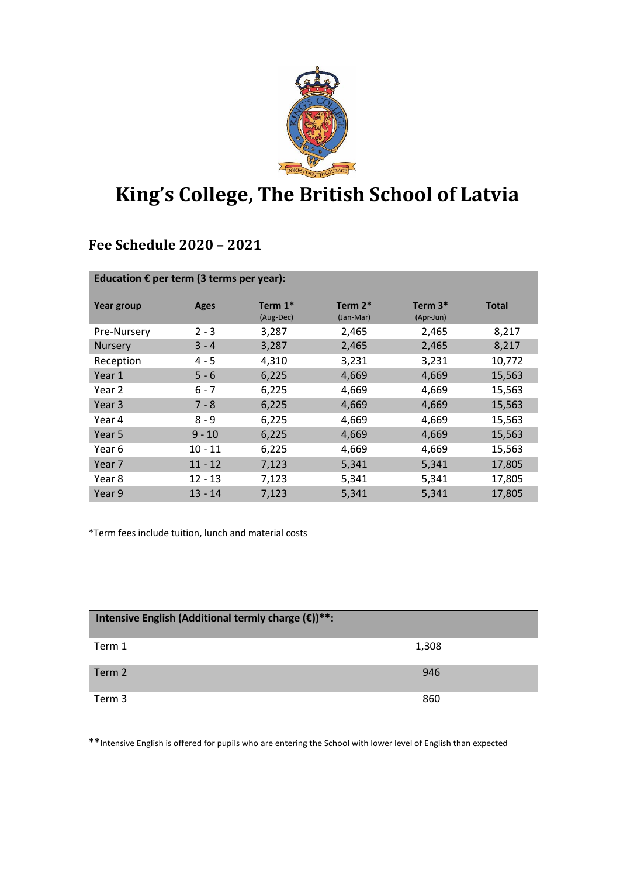

## **King's College, The British School of Latvia**

## **Fee Schedule 2020 – 2021**

| Education $\epsilon$ per term (3 terms per year): |             |                         |                         |                        |              |
|---------------------------------------------------|-------------|-------------------------|-------------------------|------------------------|--------------|
| Year group                                        | <b>Ages</b> | Term $1^*$<br>(Aug-Dec) | Term $2^*$<br>(Jan-Mar) | Term $3*$<br>(Apr-Jun) | <b>Total</b> |
| Pre-Nursery                                       | $2 - 3$     | 3,287                   | 2,465                   | 2,465                  | 8,217        |
| <b>Nursery</b>                                    | $3 - 4$     | 3,287                   | 2,465                   | 2,465                  | 8,217        |
| Reception                                         | $4 - 5$     | 4,310                   | 3,231                   | 3,231                  | 10,772       |
| Year 1                                            | $5 - 6$     | 6,225                   | 4,669                   | 4,669                  | 15,563       |
| Year 2                                            | $6 - 7$     | 6,225                   | 4,669                   | 4,669                  | 15,563       |
| Year <sub>3</sub>                                 | $7 - 8$     | 6,225                   | 4,669                   | 4,669                  | 15,563       |
| Year 4                                            | $8 - 9$     | 6,225                   | 4,669                   | 4,669                  | 15,563       |
| Year 5                                            | $9 - 10$    | 6,225                   | 4,669                   | 4,669                  | 15,563       |
| Year 6                                            | $10 - 11$   | 6,225                   | 4,669                   | 4,669                  | 15,563       |
| Year 7                                            | $11 - 12$   | 7,123                   | 5,341                   | 5,341                  | 17,805       |
| Year 8                                            | 12 - 13     | 7,123                   | 5,341                   | 5,341                  | 17,805       |
| Year 9                                            | $13 - 14$   | 7,123                   | 5,341                   | 5,341                  | 17,805       |

\*Term fees include tuition, lunch and material costs

| Intensive English (Additional termly charge $(\epsilon)$ )**: |       |  |  |
|---------------------------------------------------------------|-------|--|--|
| Term 1                                                        | 1,308 |  |  |
| Term 2                                                        | 946   |  |  |
| Term 3                                                        | 860   |  |  |

\*\*Intensive English is offered for pupils who are entering the School with lower level of English than expected